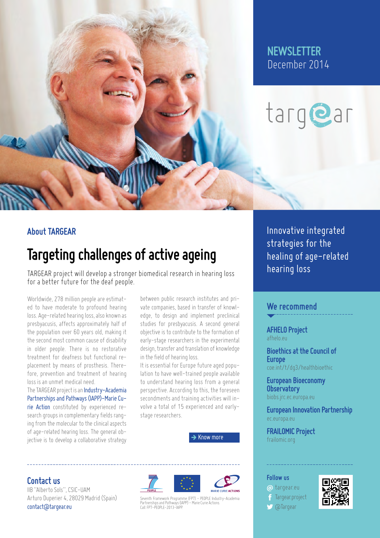

### **NEWSLETTER** December 2014

# targ@ar

#### **About TARGEAR**

## **Targeting challenges of active ageing**

TARGEAR project will develop a stronger biomedical research in hearing loss for a better future for the deaf people.

Worldwide, 278 million people are estimated to have moderate to profound hearing loss. Age-related hearing loss, also known as presbyacusis, affects approximately half of the population over 60 years old, making it the second most common cause of disability in older people. There is no restorative treatment for deafness but functional replacement by means of prosthesis. Therefore, prevention and treatment of hearing loss is an unmet medical need.

The TARGEAR project is an [Industry-Academia](http://ec.europa.eu/research/mariecurieactions/about-mca/actions/iapp/index_en.htm) [Partnerships and Pathways \(IAPP\)-Marie Cu](http://ec.europa.eu/research/mariecurieactions/about-mca/actions/iapp/index_en.htm)[rie Action](http://ec.europa.eu/research/mariecurieactions/about-mca/actions/iapp/index_en.htm) constituted by experienced research groups in complementary fields ranging from the molecular to the clinical aspects of age-related hearing loss. The general objective is to develop a collaborative strategy

between public research institutes and private companies, based in transfer of knowledge, to design and implement preclinical studies for presbyacusis. A second general objective is to contribute to the formation of early-stage researchers in the experimental design, transfer and translation of knowledge in the field of hearing loss.

It is essential for Europe future aged population to have well-trained people available to understand hearing loss from a general perspective. According to this, the foreseen secondments and training activities will involve a total of 15 experienced and earlystage researchers.

[Know more](http://targear.eu/about-the-project)

#### **Contact us**

IIB "Alberto Sols", CSIC-UAM Arturo Duperier 4, 28029 Madrid (Spain) [contact@targear.eu](mailto:contact@targear.eu)





Seventh Framework Programme (FP7) – PEOPLE Industry–Academia<br>Partnerships and Pathways (IAPP) – Marie Curie Actions.<br>Call: FP7–PEOPLE–2013–IAPP.

Innovative integrated strategies for the healing of age-related hearing loss

#### **We recommend**

**[AFHELO Project](http://www.afhelo.eu)** [afhelo.eu](http://www.afhelo.eu)

**[Bioethics at the Council of](http://www.coe.int/t/dg3/healthbioethic/)  [Europe](http://www.coe.int/t/dg3/healthbioethic/)** [coe.int/t/dg3/healthbioethic](http://www.coe.int/t/dg3/healthbioethic/)

**[European Bioeconomy](http://biobs.jrc.ec.europa.eu/)  [Observatory](http://biobs.jrc.ec.europa.eu/)** [biobs.jrc.ec.europa.eu](http://biobs.jrc.ec.europa.eu/)

**[European Innovation Partnership](http://ec.europa.eu/research/innovation-union/index_en.cfm?section=active-healthy-ageing)** [ec.europa.eu](http://ec.europa.eu/research/innovation-union/index_en.cfm?section=active-healthy-ageing)

**[FRAILOMIC Project](http://www.frailomic.org)** [frailomic.org](http://www.frailomic.org)

#### **Follow us**

**a** [targear.eu](http://targear.eu) [Targear.project](https://www.facebook.com/Targear.project) **S** [@Targear](https://twitter.com/Targear)

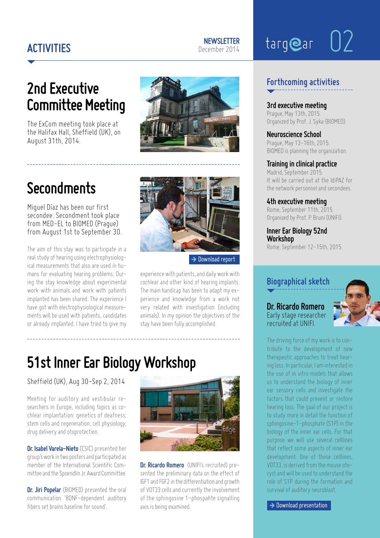### **Activities**

## 02targear

## **2nd Executive Committee Meeting**

The ExCom meeting took place at the Halifax Hall, Sheffield (UK), on August 31th, 2014.

## **Secondments**

Miguel Díaz has been our first secondee. Secondment took place from MED-EL to BIOMED (Prague) from August 1st to September 30.

The aim of this stay was to participate in a real study of hearing using electrophysiological measurements that also are used in humans for evaluating hearing problems. During the stay knowledge about experimental work with animals and work with patients implanted has been shared. The experience I have got with electrophysiological measurements will be used with patients, candidates or already implanted. I have tried to give my



 $\rightarrow$  [Download report](http://targear.eu/wp-content/uploads/MiguelDiaz_SecondeesReport.pdf)

experience with patients, and daily work with cochlear and other kind of hearing implants. The main handicap has been to adapt my experience and knowledge from a work not very related with investigation (including animals). In my opinion the objectives of the stay have been fully accomplished.

## **51st Inner Ear Biology Workshop**

Sheffield (UK), Aug 30-Sep 2, 2014

Meeting for auditory and vestibular researchers in Europe, including topics as cochlear implantation: genetics of deafness; stem cells and regeneration; cell physiology; drug delivery and otoprotection.

**Dr. Isabel Varela-Nieto** (CSIC) presented her group's work in two posters and participated as member of the International Scientific Committee and the Spoendlin Jr. Award Committee.

**Dr. Jiri Popelar** (BIOMED) presented the oral communication 'BDNF-dependent auditory fibers set brains baseline for sound'.



**Dr. Ricardo Romero** (UNIFI's recruited) presented the preliminary data on the effect of IGF1 and FGF2 in the differentiation and growth of VOT33 cells and currently the involvement of the sphingosine 1-phospahte signalling axis is being examined.

#### **Forthcoming activities**

**3rd executive meeting** Prague, May 13th, 2015. Organized by Prof. J. Syka (BIOMED).

**Neuroscience School** Prague, May 13-16th, 2015. BIOMED is planning the organization.

#### **Training in clinical practice**

Madrid, September 2015. It will be carried out at the IdiPAZ for the network personnel and secondees.

**4th executive meeting** Rome, September 11th, 2015. Organised by Prof. P. Bruni (UNIFI).

**Inner Ear Biology 52nd Workshop** Rome, September 12-15th, 2015.

#### **Biographical sketch**

**Dr. Ricardo Romero** Early stage researcher recruited at UNIFI.



The driving force of my work is to contribute to the development of new therapeutic approaches to treat hearing loss. In particular, I am interested in the use of in vitro models that allows us to understand the biology of inner ear sensory cells and investigate the factors that could prevent or restore hearing loss. The goal of our project is to study more in detail the function of sphingosine-1-phosphate (S1P) in the biology of the inner ear cells. For that purpose we will use several celllines that reflect some aspects of inner ear development. One of these celllines, VOT33, is derived from the mouse otocyst and will be used to understand the role of S1P during the formation and survival of auditory neuroblast.

 $\rightarrow$  [Download presentation](http://targear.eu/wp-content/uploads/RicardoRomero_Presentation.pdf)